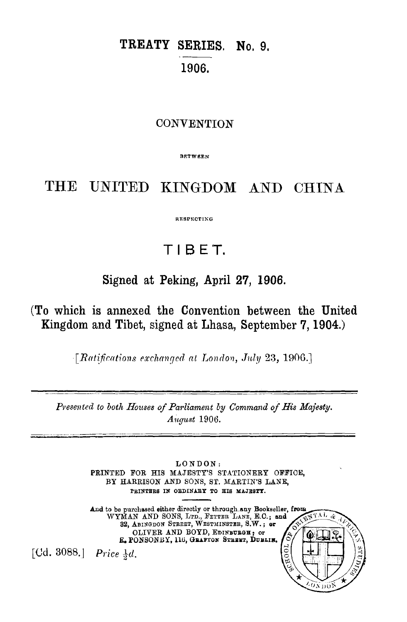# TREATY SERIES. No. 9. 1906.

### **CONVENTION**

RF.TWF.F.N

# THE UNITED KINGDOM AND CHINA

RESPECTING

# TI 8 ET.

# Signed at Peking, April 27, 1906.

(To which is annexed the Convention between the United Kingdom and Tibet, signed at Lhasa, September 7, 1904.)

*[Ratifications exchanged at London, July 23, 1906.]* 

Presented to both Houses of Parliament by *Command of His Majesty*. *August* 1906.

> LONDON: PRINTED FOR HIS MAJESTY'S STATIONERY OFFICE. BY HARRISON AND SONS, ST. MARTIN'S LANE, PRINTERS IN ORDINARY TO HIS MAJESTY.

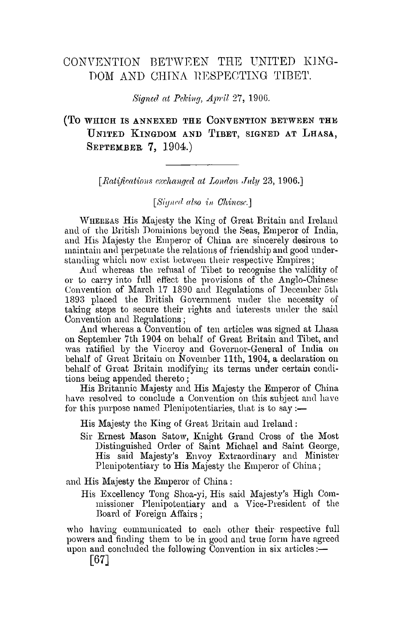## CONVENTION BETWEEN THE UNITED KING-DOM AND CHINA HESPECTIXG TIBET.

*Signed at Peking, April 27, 1906.* 

### (TO WHICH IS ANNEXED THE CONVENTION BETWEEN THE UNITED KINGDOM AND TIBET, SIGNED AT LHASA, **SEPTEMBER 7, 1904.)**

[Ratifications exchanged at London July 23, 1906.]

[Sianed also in Chinese.]

WHEREAS His Majesty the King of Great Britain and Ireland and of the British Dominions beyond the Seas, Emperor of India, and His Majesty the Emperor of China arc sincerely desirous to maintain and perpetuate the relations of friendship and good understanding which now exist between their respective Empires;

And whereas the refusal of Tibet to recognise the validity of or to carry into full eftect the provisions of the Anglo-Chinese Convention of March 17 1890 and Regulations of December 5th 1893 placed the British Government under the necessity of taking steps to secure their rights and interests under the said Convention and Regulations;

And whereas a Convention of ten articles was signed at Lhasa on September 7th 1904 on behalf of Great Britain and Tibet, and was ratified by the Viceroy and Governor-General of India on behalf of Great Britain on November 11th, 1904, a declaration on behalf of Great Britain modifying its terms under certain conditions being appended thereto ;

His Britannic Majesty and His Majesty the Emperor of China have resolved to conclude a Convention on this subject and have for this purpose named Plenipotentiaries, that is to say :—

His Majesty the King of Great Britain and Ireland :

Sir Ernest Mason Satow, Knight Grand Cross of the Most Distinguished Order of Saint Michael and Saint George, His said Majesty's Envoy Extraordinary and Minister Plenipotentiary to His Majesty the Emperor of China;

and His Majesty the Emperor of China :

His Excellency Tong Shoa-yi, His said Majesty's High Commissioner Plenipotentiary and a Vice-President of the Board of Foreign Affairs ;

who having communicated to each other their respective full powers and finding them to be in good and true form have agreed upon and concluded the following Convention in six articles: $-$ 

[67]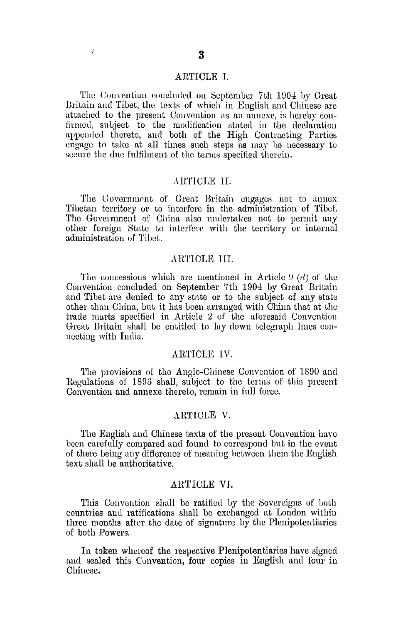The Convention concluded on September 7th 1904 by Great Britain and Tibet, the texts of which in English and Chinese are attached to the present Convention as an annexe, is hereby confirmed, subject to the modification stated in the declaration appended thereto, and both of the High Contracting Parties engage to take at all times such steps ns may be necessary to secure the due fulfilment of the terms specified therein.

#### AHTICLE II.

The Government of Great Britain engages not to annex Tibetan territory or to interfere in the administration of Tibet. The Government of China also undertakes not to permit any other foreign State to interfere with the territory or internal administration of Tibet.

#### ARTICLE III.

The concessions which are mentioned in Article  $9(d)$  of the Convention concluded on September 7th 1904 by Great Britain and Tibet are denied to any state or to the subject of any state other than China, but it has been arranged with China that at Lhe trade marts specified in Article 2 of the aforesaid Convention Great Britain shall be entitled to lay down telegraph lines connccting with India.

#### ARTICLE lV.

The provisions of the Anglo-Chinese Convention of 1890 and Regulations of 1893 shall, subject to the terms of this present Convention and annexe thereto, remain in full force.

#### .ARTICLE V.

The English and Chinese texts of the present Convention have been carefully compared and found to correspond but in the event of there being any difference of meaning between them the English text shall be authoritative.

#### ARTICLE **VJ.**

This Convention shall be ratified by the Sovereigns of both countries aml ratifications shall be exchanged at London within three months after the date of signature by the Plenipotentiaries of both Powers.

In token whereof the respective Plenipotentiaries have signed and sealed this Convention, four copies in English and four in Chinese.

ź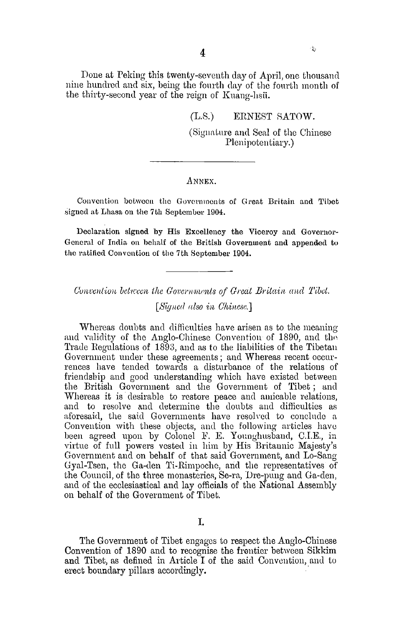Done at Peking this twenty-seventh day of April, one thousand nine hundred and six, being the fonrth day of the fourth month of the thirty-second year of the reign of Kuang-hsii.

(L.S.) ERNEST SATOW.

(Signature and Seal of the Chinese Plenipotentiary.)

 $\frac{3}{2}$ 

#### ANNEX.

Convention between the Governments of Great Britain and Tibet signed at Lhasa on the 7th September 1904.

Declaration signed by His Excellency the Viceroy and Governor-General of India on behalf of the British Government and appended to the ratified Convention of the 7th September 1904.

*Convention between the Governments of Great Britain and Tibet.* 

*[Signed rdso in Chinese.]* 

Whereas doubts and difficulties have arisen as to the meaning and validity of the Anglo-Chinese Convention of 1890, and the Trade Regulations of 1893, and as to the liabilities of the Tibetan Government under these agreements; and Whereas recent occurrences have tended towards a disturbance of the relations of friendsbip and good understanding which have existed between the British Government and the Govemment of Tibet ; and Whereas it is desirable to restore peace and amicable relations, and to resolve and determine the doubts aud difficulties as aforesaid, the said Governments have resolved to conclude a Convention with these objects, and the following articles have been agreed upon by Colonel F. E. Younghusband, C.I.E., in virtue of full powers vested in him by His Britannic Majesty's Government and on behalf of that said Government, and Lo-Sang Gyal-Tsen, the Ga-den Ti-Rimpoche, and the representatives of the Council, of the three monasteries, Se-ra, Dre-pung and Ga-den, and of the ecclesiastical and lay officials of the National Assembly on behalf of the Government of Tibet.

The Government of Tibet engngcs to respect the Anglo-Chinese Convention of 1890 and to recognise the frontier between Sikkim and Tibet, as defined in Article I of the said Convention, and to erect boundary pillars accordingly.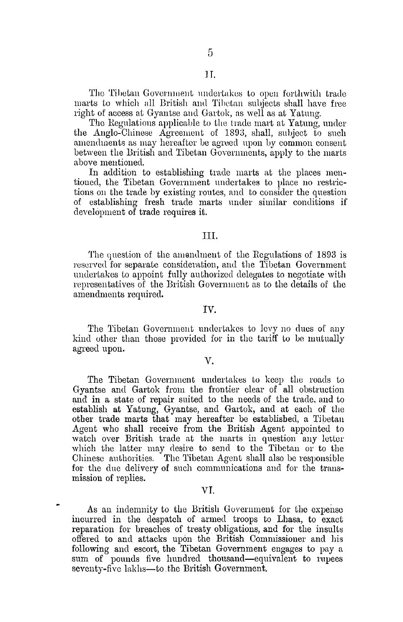The Tibetan Government undertakes to open forthwith trade marts to which all British and Tibetan suhjects shall have free right of access at Gyantse and Gartok, as well as at Yatung.

The Regulations applicable to the trade mart at Yatung, under the Anglo-Chinese Agreement of 1893, shall, subject to such amendments as may hereafter be agreed upon by common consent between the British and Tibetan Govenuneuts, apply to the marts above mentioned.

In addition to establishing trade marts at the places mentioned, the Tibetan Govemment undertakes to place no restrictions ou the trade by existing routes, and to consider the question of establishing fresh trade marts under similar conditions if development of trade requires it.

#### III.

The question of the amendment of the Regulations of 1893 is reserved for separate consideration, and the Tibetan Government undertakes to appoint fully authorized delegates to negotiate with representatives of the British Government as to the details of the amendments required.

#### IV.

The Tibetan Government undertakes to levy no dues of any kind other than those provided for in the tariff to be mutually agreed upon.

#### V.

The Tibetan Government undertake8 to keep the roads to Gyantse and Gartok from the frontier clear of all obstruction and in a state of repair suited to the needs of the trade, and to establish at Yatung, Gyantse, and Gartok, and at each of the other trade marts that may hereafter be established, a Tibetan Agent who shall receive from the British Agent appointed to watch over British trade at the marts in question any letter which the latter may desire to send to the Tibetan or to the Chinese authorities. The Tibetan Agent shall also be responsible for the due delivery of such communications and for the transmission of replies.

#### VI.

As an indemnity to the British Government for the expense incurred in the despatch of armed troops to Lhasa, to exact reparation for breaches of treaty obligations, and for the insults offered to and attacks upon the British Commissioner and his following and escort, the Tibetan Government engages to pay a sum of pounds five hundred thousand-equivalent to rupees seventy-five lakhs—to the British Government.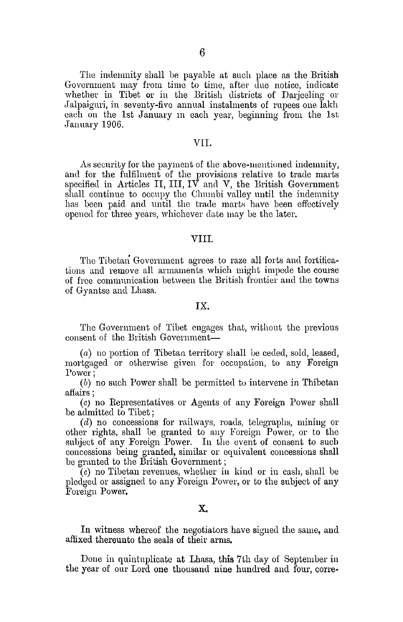The indemnity shall be payable at such place as the British Government may from time to time, after due notice, indicate whether in Tibet or in the British districts of Darjeeling or Jalpaiguri, in seventy-five annual instalments of rupees one lakh each on the 1st January m each year, beginning from the 1st January 1906.

#### V1I.

As security for the payment of the above-mentioned indemnity, and for the fulfilment of the provisions relative to trade marts specified in Articles II, III,  $\overline{IV}$  and V, the British Government shall continue to occupy the Chumbi valley until the indemnity has been paid and until the trade marts have been effectively opened for three years, whichever date may be the later.

#### VIII.

The Tibetan Government agrees to raze all forts and fortifications and remove all armaments which might impede the course of free communication between the British frontier and the towns of Gyantse and Lhasa.

#### IX.

The Government of Tibet engages that, without the previous consent of the British Government-

 $(a)$  no portion of Tibetan territory shall be ceded, sold, leased, mortgaged or otherwise given for occupation, to any Foreign Power;

(b) no such Power shall be permitted to intervene in Thibetan affairs ;

*(c)* no Representatives or Agents of any Foreign Power shall be admitted to Tibet;

 $(d)$  no concessions for railways, roads, telegraphs, mining or other rights, shall be granted to any Foreign Power, or to the subject of any Foreign Power. In the event of consent to such concessions being granted, similar or equivalent concessions shall be granted to the British Government;

 $(e)$  no Tibetan revenues, whether in kind or in cash, shall be pledged or assigned to any Foreign Power, or to the subject of any Foreign Power,

#### X.

In witness whereof the negotiators have signed the same, and affixed thereunto the seals of their arms.

Done in quintnplicate at Lhasa, this 7th day of September in the year of our Lord one thousand nine hundred and four, cone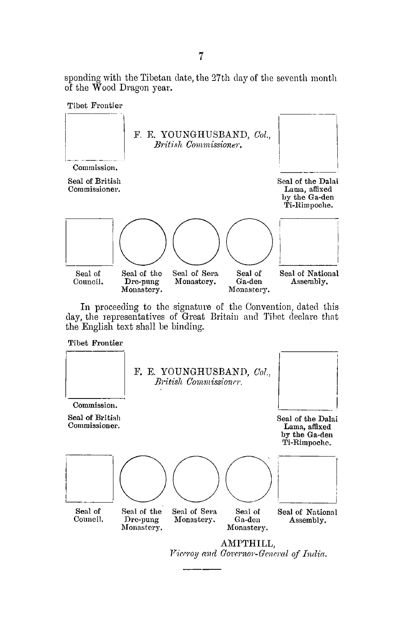sponding with the Tibetan date, the 27th day of the seventh month of the Wood Dragon year.



In proceeding to the signature of the Convention, dated this day, the representatives of Great Britain and Tibet declare that the English text shall he binding.

Tibet Frontier